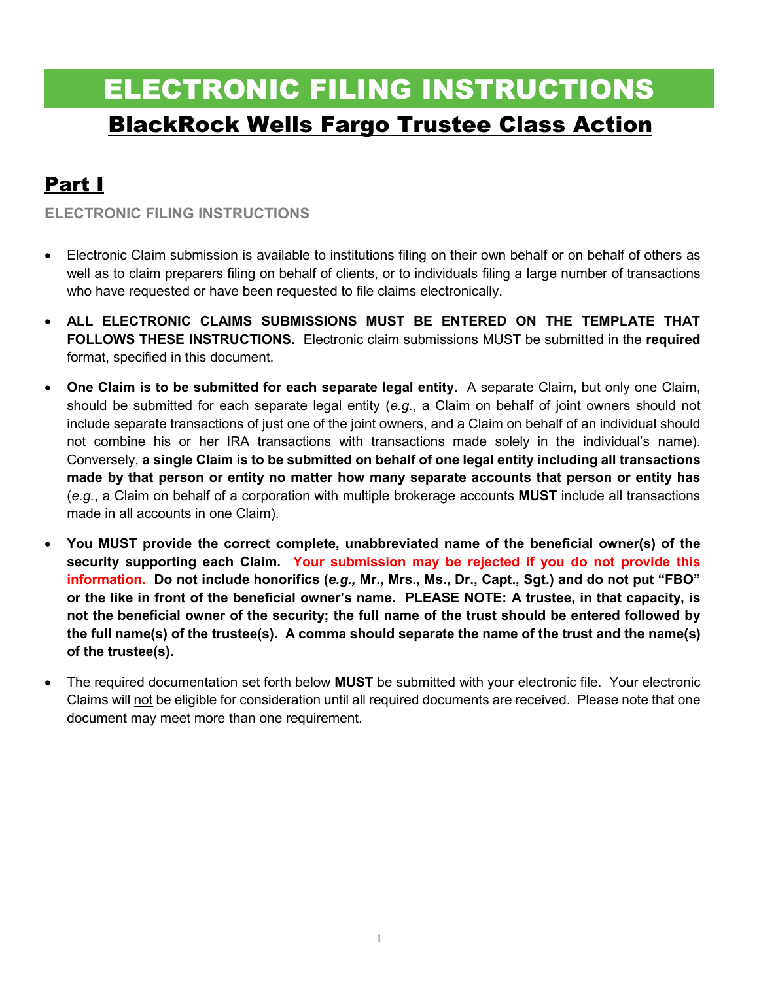# ELECTRONIC FILING INSTRUCTIONS BlackRock Wells Fargo Trustee Class Action

## Part I

**ELECTRONIC FILING INSTRUCTIONS** 

- Electronic Claim submission is available to institutions filing on their own behalf or on behalf of others as well as to claim preparers filing on behalf of clients, or to individuals filing a large number of transactions who have requested or have been requested to file claims electronically.
- **ALL ELECTRONIC CLAIMS SUBMISSIONS MUST BE ENTERED ON THE TEMPLATE THAT FOLLOWS THESE INSTRUCTIONS.** Electronic claim submissions MUST be submitted in the **required** format, specified in this document.
- **One Claim is to be submitted for each separate legal entity.** A separate Claim, but only one Claim, should be submitted for each separate legal entity (*e.g.*, a Claim on behalf of joint owners should not include separate transactions of just one of the joint owners, and a Claim on behalf of an individual should not combine his or her IRA transactions with transactions made solely in the individual's name). Conversely, **a single Claim is to be submitted on behalf of one legal entity including all transactions made by that person or entity no matter how many separate accounts that person or entity has**  (*e.g.*, a Claim on behalf of a corporation with multiple brokerage accounts **MUST** include all transactions made in all accounts in one Claim).
- **You MUST provide the correct complete, unabbreviated name of the beneficial owner(s) of the security supporting each Claim. Your submission may be rejected if you do not provide this information. Do not include honorifics (***e.g.,* **Mr., Mrs., Ms., Dr., Capt., Sgt.) and do not put "FBO" or the like in front of the beneficial owner's name. PLEASE NOTE: A trustee, in that capacity, is not the beneficial owner of the security; the full name of the trust should be entered followed by the full name(s) of the trustee(s). A comma should separate the name of the trust and the name(s) of the trustee(s).**
- The required documentation set forth below **MUST** be submitted with your electronic file. Your electronic Claims will not be eligible for consideration until all required documents are received. Please note that one document may meet more than one requirement.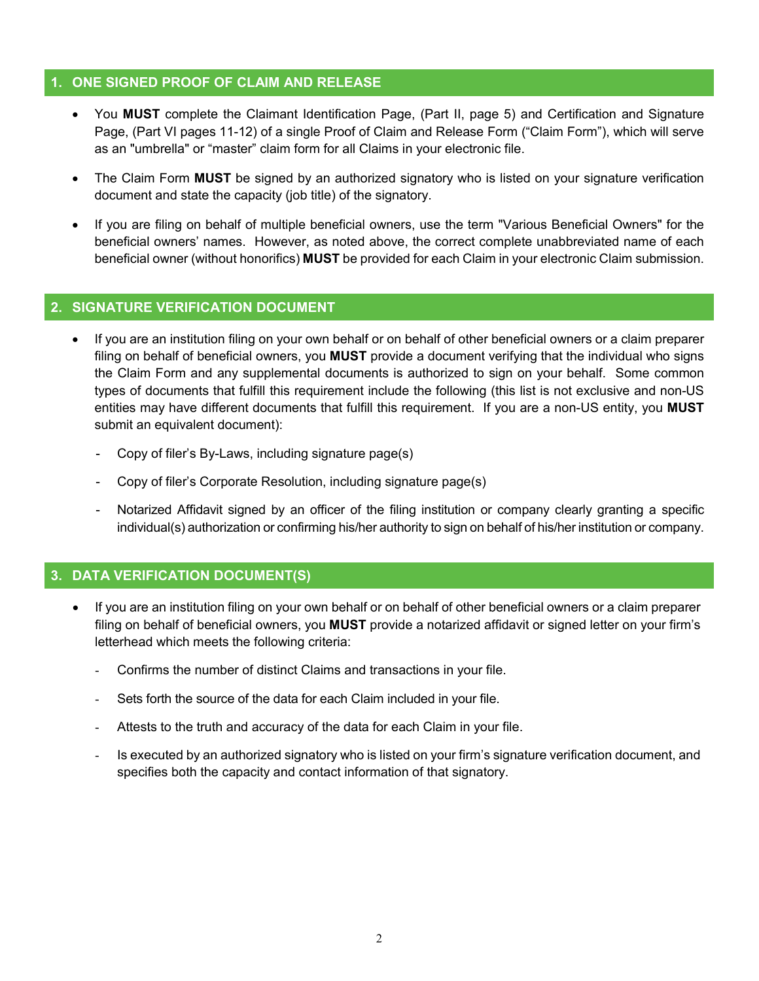#### **1. ONE SIGNED PROOF OF CLAIM AND RELEASE**

- You **MUST** complete the Claimant Identification Page, (Part II, page 5) and Certification and Signature Page, (Part VI pages 11-12) of a single Proof of Claim and Release Form ("Claim Form"), which will serve as an "umbrella" or "master" claim form for all Claims in your electronic file.
- The Claim Form **MUST** be signed by an authorized signatory who is listed on your signature verification document and state the capacity (job title) of the signatory.
- If you are filing on behalf of multiple beneficial owners, use the term "Various Beneficial Owners" for the beneficial owners' names. However, as noted above, the correct complete unabbreviated name of each beneficial owner (without honorifics) **MUST** be provided for each Claim in your electronic Claim submission.

### **2. SIGNATURE VERIFICATION DOCUMENT**

- If you are an institution filing on your own behalf or on behalf of other beneficial owners or a claim preparer filing on behalf of beneficial owners, you **MUST** provide a document verifying that the individual who signs the Claim Form and any supplemental documents is authorized to sign on your behalf. Some common types of documents that fulfill this requirement include the following (this list is not exclusive and non-US entities may have different documents that fulfill this requirement. If you are a non-US entity, you **MUST** submit an equivalent document):
	- Copy of filer's By-Laws, including signature page(s)
	- Copy of filer's Corporate Resolution, including signature page(s)
	- Notarized Affidavit signed by an officer of the filing institution or company clearly granting a specific individual(s) authorization or confirming his/her authority to sign on behalf of his/her institution or company.

### **3. DATA VERIFICATION DOCUMENT(S)**

- If you are an institution filing on your own behalf or on behalf of other beneficial owners or a claim preparer filing on behalf of beneficial owners, you **MUST** provide a notarized affidavit or signed letter on your firm's letterhead which meets the following criteria:
	- Confirms the number of distinct Claims and transactions in your file.
	- Sets forth the source of the data for each Claim included in your file.
	- Attests to the truth and accuracy of the data for each Claim in your file.
	- Is executed by an authorized signatory who is listed on your firm's signature verification document, and specifies both the capacity and contact information of that signatory.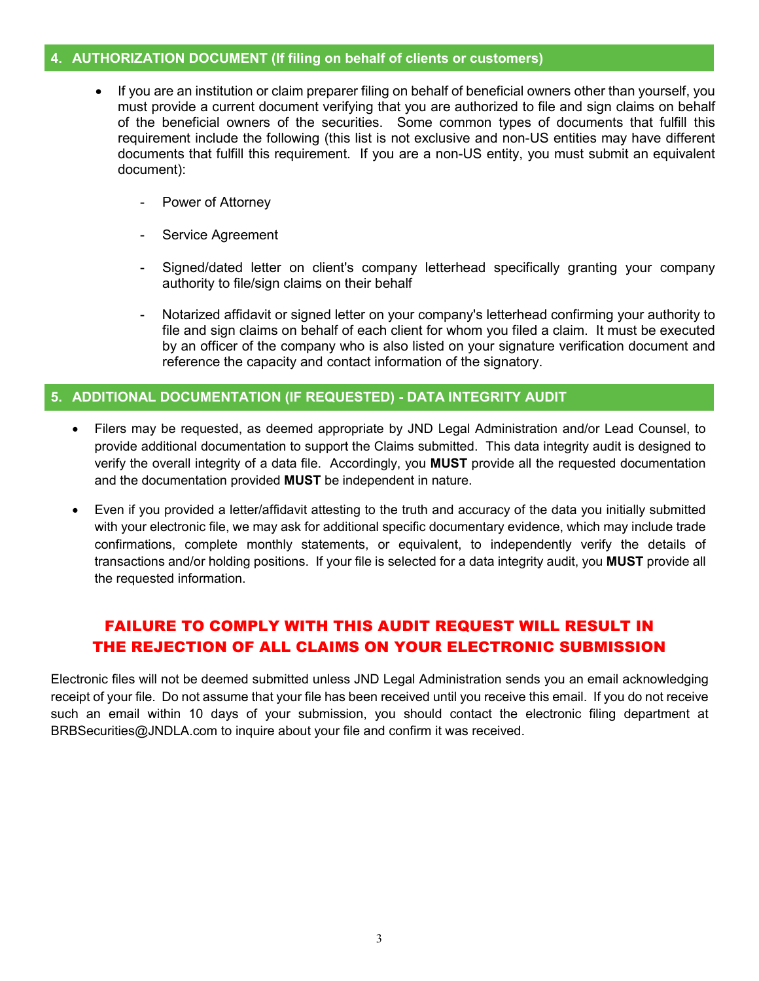#### **4. AUTHORIZATION DOCUMENT (If filing on behalf of clients or customers)**

- If you are an institution or claim preparer filing on behalf of beneficial owners other than yourself, you must provide a current document verifying that you are authorized to file and sign claims on behalf of the beneficial owners of the securities. Some common types of documents that fulfill this requirement include the following (this list is not exclusive and non-US entities may have different documents that fulfill this requirement. If you are a non-US entity, you must submit an equivalent document):
	- Power of Attorney
	- Service Agreement
	- Signed/dated letter on client's company letterhead specifically granting your company authority to file/sign claims on their behalf
	- Notarized affidavit or signed letter on your company's letterhead confirming your authority to file and sign claims on behalf of each client for whom you filed a claim. It must be executed by an officer of the company who is also listed on your signature verification document and reference the capacity and contact information of the signatory.

#### **5. ADDITIONAL DOCUMENTATION (IF REQUESTED) - DATA INTEGRITY AUDIT**

- Filers may be requested, as deemed appropriate by JND Legal Administration and/or Lead Counsel, to provide additional documentation to support the Claims submitted. This data integrity audit is designed to verify the overall integrity of a data file. Accordingly, you **MUST** provide all the requested documentation and the documentation provided **MUST** be independent in nature.
- Even if you provided a letter/affidavit attesting to the truth and accuracy of the data you initially submitted with your electronic file, we may ask for additional specific documentary evidence, which may include trade confirmations, complete monthly statements, or equivalent, to independently verify the details of transactions and/or holding positions. If your file is selected for a data integrity audit, you **MUST** provide all the requested information.

## FAILURE TO COMPLY WITH THIS AUDIT REQUEST WILL RESULT IN THE REJECTION OF ALL CLAIMS ON YOUR ELECTRONIC SUBMISSION

Electronic files will not be deemed submitted unless JND Legal Administration sends you an email acknowledging receipt of your file. Do not assume that your file has been received until you receive this email. If you do not receive such an email within 10 days of your submission, you should contact the electronic filing department at BRBSecurities@JNDLA.com to inquire about your file and confirm it was received.